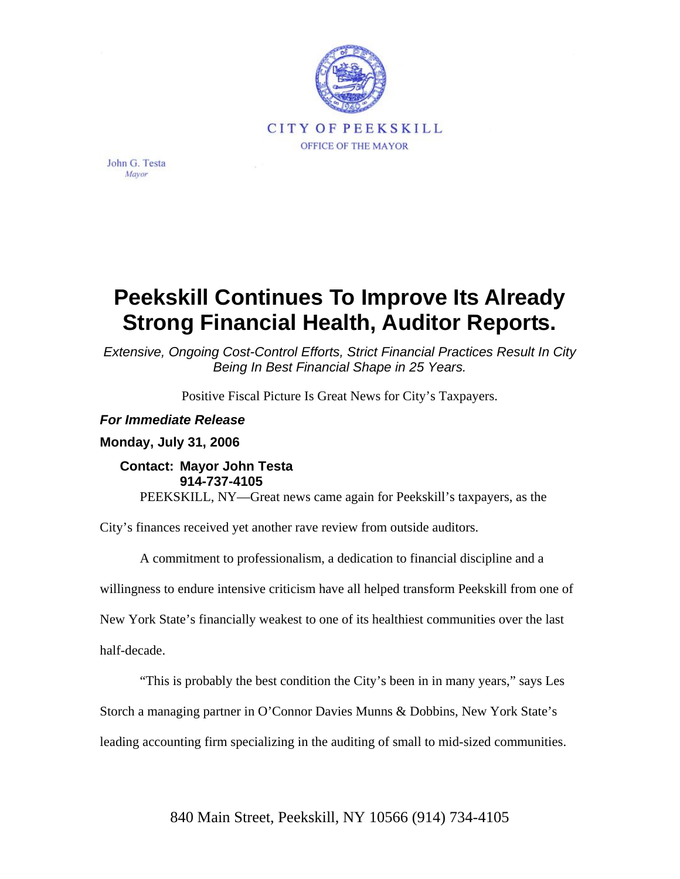

John G. Testa Mayor

## **Peekskill Continues To Improve Its Already Strong Financial Health, Auditor Reports.**

*Extensive, Ongoing Cost-Control Efforts, Strict Financial Practices Result In City Being In Best Financial Shape in 25 Years.* 

Positive Fiscal Picture Is Great News for City's Taxpayers.

## *For Immediate Release*

**Monday, July 31, 2006** 

## **Contact: Mayor John Testa 914-737-4105**

PEEKSKILL, NY—Great news came again for Peekskill's taxpayers, as the

City's finances received yet another rave review from outside auditors.

A commitment to professionalism, a dedication to financial discipline and a

willingness to endure intensive criticism have all helped transform Peekskill from one of

New York State's financially weakest to one of its healthiest communities over the last

half-decade.

"This is probably the best condition the City's been in in many years," says Les

Storch a managing partner in O'Connor Davies Munns & Dobbins, New York State's

leading accounting firm specializing in the auditing of small to mid-sized communities.

840 Main Street, Peekskill, NY 10566 (914) 734-4105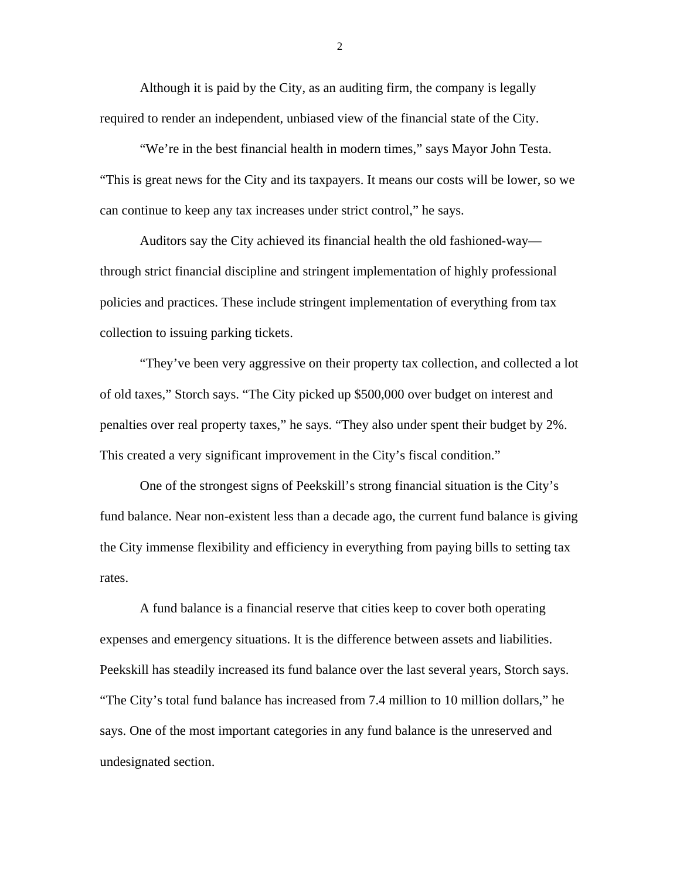Although it is paid by the City, as an auditing firm, the company is legally required to render an independent, unbiased view of the financial state of the City.

"We're in the best financial health in modern times," says Mayor John Testa. "This is great news for the City and its taxpayers. It means our costs will be lower, so we can continue to keep any tax increases under strict control," he says.

Auditors say the City achieved its financial health the old fashioned-way through strict financial discipline and stringent implementation of highly professional policies and practices. These include stringent implementation of everything from tax collection to issuing parking tickets.

"They've been very aggressive on their property tax collection, and collected a lot of old taxes," Storch says. "The City picked up \$500,000 over budget on interest and penalties over real property taxes," he says. "They also under spent their budget by 2%. This created a very significant improvement in the City's fiscal condition."

One of the strongest signs of Peekskill's strong financial situation is the City's fund balance. Near non-existent less than a decade ago, the current fund balance is giving the City immense flexibility and efficiency in everything from paying bills to setting tax rates.

A fund balance is a financial reserve that cities keep to cover both operating expenses and emergency situations. It is the difference between assets and liabilities. Peekskill has steadily increased its fund balance over the last several years, Storch says. "The City's total fund balance has increased from 7.4 million to 10 million dollars," he says. One of the most important categories in any fund balance is the unreserved and undesignated section.

2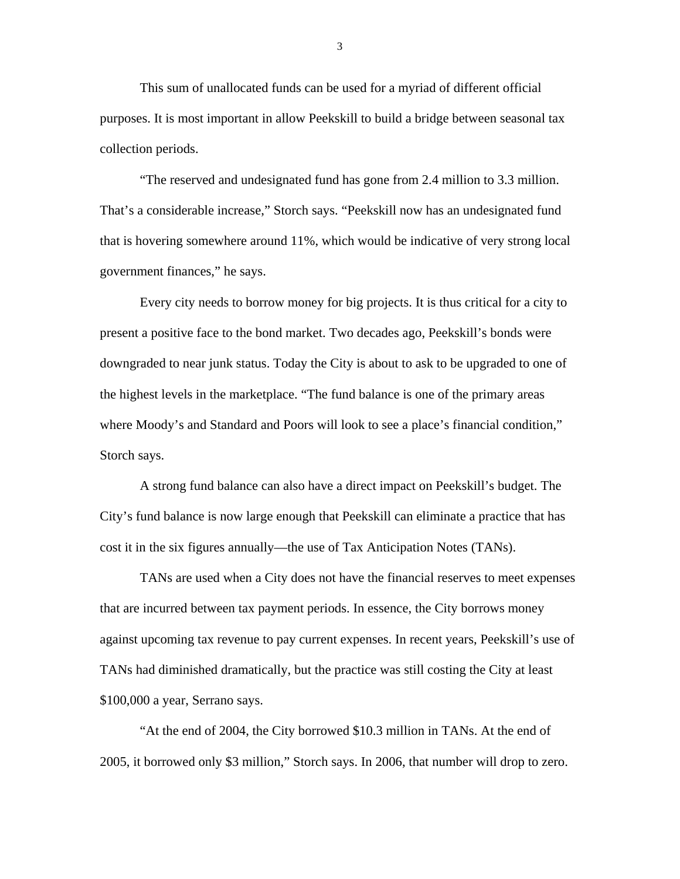This sum of unallocated funds can be used for a myriad of different official purposes. It is most important in allow Peekskill to build a bridge between seasonal tax collection periods.

"The reserved and undesignated fund has gone from 2.4 million to 3.3 million. That's a considerable increase," Storch says. "Peekskill now has an undesignated fund that is hovering somewhere around 11%, which would be indicative of very strong local government finances," he says.

Every city needs to borrow money for big projects. It is thus critical for a city to present a positive face to the bond market. Two decades ago, Peekskill's bonds were downgraded to near junk status. Today the City is about to ask to be upgraded to one of the highest levels in the marketplace. "The fund balance is one of the primary areas where Moody's and Standard and Poors will look to see a place's financial condition," Storch says.

A strong fund balance can also have a direct impact on Peekskill's budget. The City's fund balance is now large enough that Peekskill can eliminate a practice that has cost it in the six figures annually—the use of Tax Anticipation Notes (TANs).

TANs are used when a City does not have the financial reserves to meet expenses that are incurred between tax payment periods. In essence, the City borrows money against upcoming tax revenue to pay current expenses. In recent years, Peekskill's use of TANs had diminished dramatically, but the practice was still costing the City at least \$100,000 a year, Serrano says.

"At the end of 2004, the City borrowed \$10.3 million in TANs. At the end of 2005, it borrowed only \$3 million," Storch says. In 2006, that number will drop to zero.

3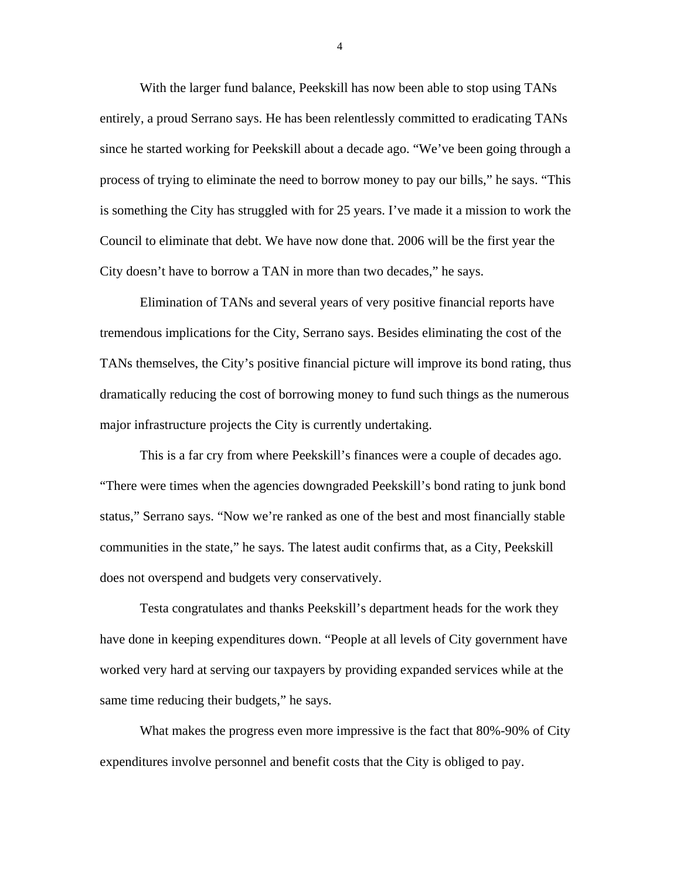With the larger fund balance, Peekskill has now been able to stop using TANs entirely, a proud Serrano says. He has been relentlessly committed to eradicating TANs since he started working for Peekskill about a decade ago. "We've been going through a process of trying to eliminate the need to borrow money to pay our bills," he says. "This is something the City has struggled with for 25 years. I've made it a mission to work the Council to eliminate that debt. We have now done that. 2006 will be the first year the City doesn't have to borrow a TAN in more than two decades," he says.

Elimination of TANs and several years of very positive financial reports have tremendous implications for the City, Serrano says. Besides eliminating the cost of the TANs themselves, the City's positive financial picture will improve its bond rating, thus dramatically reducing the cost of borrowing money to fund such things as the numerous major infrastructure projects the City is currently undertaking.

This is a far cry from where Peekskill's finances were a couple of decades ago. "There were times when the agencies downgraded Peekskill's bond rating to junk bond status," Serrano says. "Now we're ranked as one of the best and most financially stable communities in the state," he says. The latest audit confirms that, as a City, Peekskill does not overspend and budgets very conservatively.

Testa congratulates and thanks Peekskill's department heads for the work they have done in keeping expenditures down. "People at all levels of City government have worked very hard at serving our taxpayers by providing expanded services while at the same time reducing their budgets," he says.

What makes the progress even more impressive is the fact that 80%-90% of City expenditures involve personnel and benefit costs that the City is obliged to pay.

4